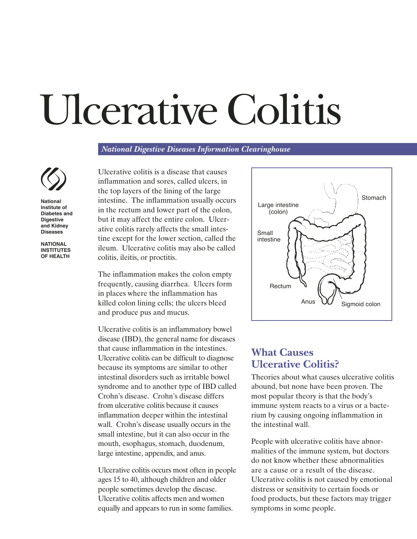# Ulcerative Colitis

*National Digestive Diseases Information Clearinghouse*



**National Institute of Diabetes and Digestive and Kidney Diseases**

**NATIONAL INSTITUTES OF HEALTH**

Ulcerative colitis is a disease that causes inflammation and sores, called ulcers, in the top layers of the lining of the large intestine. The inflammation usually occurs in the rectum and lower part of the colon, but it may affect the entire colon. Ulcerative colitis rarely affects the small intestine except for the lower section, called the ileum. Ulcerative colitis may also be called colitis, ileitis, or proctitis.

The inflammation makes the colon empty frequently, causing diarrhea. Ulcers form in places where the inflammation has killed colon lining cells; the ulcers bleed and produce pus and mucus.

Ulcerative colitis is an inflammatory bowel disease (IBD), the general name for diseases that cause inflammation in the intestines. Ulcerative colitis can be difficult to diagnose because its symptoms are similar to other intestinal disorders such as irritable bowel syndrome and to another type of IBD called Crohn's disease. Crohn's disease differs from ulcerative colitis because it causes inflammation deeper within the intestinal wall. Crohn's disease usually occurs in the small intestine, but it can also occur in the mouth, esophagus, stomach, duodenum, large intestine, appendix, and anus.

Ulcerative colitis occurs most often in people ages 15 to 40, although children and older people sometimes develop the disease. Ulcerative colitis affects men and women equally and appears to run in some families.



## **What Causes Ulcerative Colitis?**

Theories about what causes ulcerative colitis abound, but none have been proven. The most popular theory is that the body's immune system reacts to a virus or a bacterium by causing ongoing inflammation in the intestinal wall.

People with ulcerative colitis have abnormalities of the immune system, but doctors do not know whether these abnormalities are a cause or a result of the disease. Ulcerative colitis is not caused by emotional distress or sensitivity to certain foods or food products, but these factors may trigger symptoms in some people.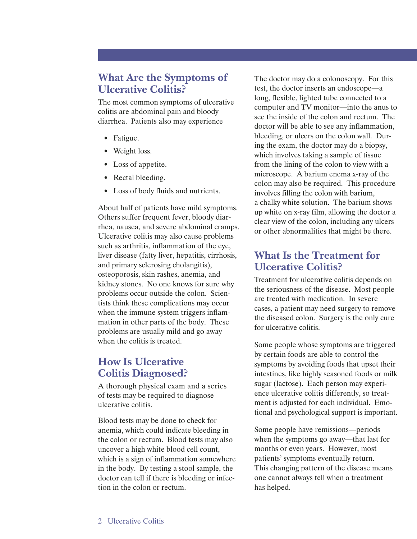## **What Are the Symptoms of Ulcerative Colitis?**

The most common symptoms of ulcerative colitis are abdominal pain and bloody diarrhea. Patients also may experience

- **.** Fatigue.
- **.** Weight loss.
- **.** Loss of appetite.
- **.** Rectal bleeding.
- **.** Loss of body fluids and nutrients.

About half of patients have mild symptoms. Others suffer frequent fever, bloody diarrhea, nausea, and severe abdominal cramps. Ulcerative colitis may also cause problems such as arthritis, inflammation of the eye, liver disease (fatty liver, hepatitis, cirrhosis, and primary sclerosing cholangitis), osteoporosis, skin rashes, anemia, and kidney stones. No one knows for sure why problems occur outside the colon. Scientists think these complications may occur when the immune system triggers inflammation in other parts of the body. These problems are usually mild and go away when the colitis is treated.

# **How Is Ulcerative Colitis Diagnosed?**

A thorough physical exam and a series of tests may be required to diagnose ulcerative colitis.

Blood tests may be done to check for anemia, which could indicate bleeding in the colon or rectum. Blood tests may also uncover a high white blood cell count, which is a sign of inflammation somewhere in the body. By testing a stool sample, the doctor can tell if there is bleeding or infection in the colon or rectum.

The doctor may do a colonoscopy. For this test, the doctor inserts an endoscope—a long, flexible, lighted tube connected to a computer and TV monitor—into the anus to see the inside of the colon and rectum. The doctor will be able to see any inflammation, bleeding, or ulcers on the colon wall. During the exam, the doctor may do a biopsy, which involves taking a sample of tissue from the lining of the colon to view with a microscope. A barium enema x-ray of the colon may also be required. This procedure involves filling the colon with barium, a chalky white solution. The barium shows up white on x-ray film, allowing the doctor a clear view of the colon, including any ulcers or other abnormalities that might be there.

## **What Is the Treatment for Ulcerative Colitis?**

Treatment for ulcerative colitis depends on the seriousness of the disease. Most people are treated with medication. In severe cases, a patient may need surgery to remove the diseased colon. Surgery is the only cure for ulcerative colitis.

Some people whose symptoms are triggered by certain foods are able to control the symptoms by avoiding foods that upset their intestines, like highly seasoned foods or milk sugar (lactose). Each person may experience ulcerative colitis differently, so treatment is adjusted for each individual. Emotional and psychological support is important.

Some people have remissions—periods when the symptoms go away—that last for months or even years. However, most patients' symptoms eventually return. This changing pattern of the disease means one cannot always tell when a treatment has helped.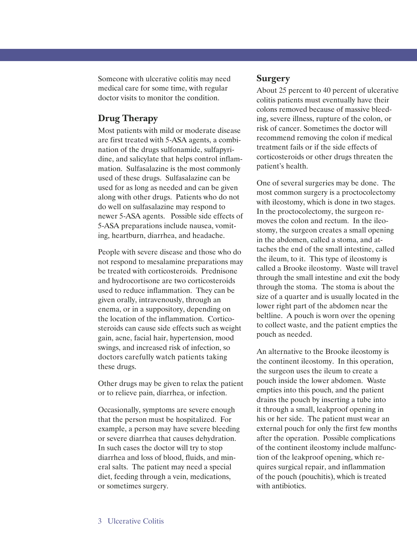Someone with ulcerative colitis may need medical care for some time, with regular doctor visits to monitor the condition.

### **Drug Therapy**

Most patients with mild or moderate disease are first treated with 5-ASA agents, a combination of the drugs sulfonamide, sulfapyridine, and salicylate that helps control inflammation. Sulfasalazine is the most commonly used of these drugs. Sulfasalazine can be used for as long as needed and can be given along with other drugs. Patients who do not do well on sulfasalazine may respond to newer 5-ASA agents. Possible side effects of 5-ASA preparations include nausea, vomiting, heartburn, diarrhea, and headache.

People with severe disease and those who do not respond to mesalamine preparations may be treated with corticosteroids. Prednisone and hydrocortisone are two corticosteroids used to reduce inflammation. They can be given orally, intravenously, through an enema, or in a suppository, depending on the location of the inflammation. Corticosteroids can cause side effects such as weight gain, acne, facial hair, hypertension, mood swings, and increased risk of infection, so doctors carefully watch patients taking these drugs.

Other drugs may be given to relax the patient or to relieve pain, diarrhea, or infection.

Occasionally, symptoms are severe enough that the person must be hospitalized. For example, a person may have severe bleeding or severe diarrhea that causes dehydration. In such cases the doctor will try to stop diarrhea and loss of blood, fluids, and mineral salts. The patient may need a special diet, feeding through a vein, medications, or sometimes surgery.

#### **Surgery**

About 25 percent to 40 percent of ulcerative colitis patients must eventually have their colons removed because of massive bleeding, severe illness, rupture of the colon, or risk of cancer. Sometimes the doctor will recommend removing the colon if medical treatment fails or if the side effects of corticosteroids or other drugs threaten the patient's health.

One of several surgeries may be done. The most common surgery is a proctocolectomy with ileostomy, which is done in two stages. In the proctocolectomy, the surgeon removes the colon and rectum. In the ileostomy, the surgeon creates a small opening in the abdomen, called a stoma, and attaches the end of the small intestine, called the ileum, to it. This type of ileostomy is called a Brooke ileostomy. Waste will travel through the small intestine and exit the body through the stoma. The stoma is about the size of a quarter and is usually located in the lower right part of the abdomen near the beltline. A pouch is worn over the opening to collect waste, and the patient empties the pouch as needed.

An alternative to the Brooke ileostomy is the continent ileostomy. In this operation, the surgeon uses the ileum to create a pouch inside the lower abdomen. Waste empties into this pouch, and the patient drains the pouch by inserting a tube into it through a small, leakproof opening in his or her side. The patient must wear an external pouch for only the first few months after the operation. Possible complications of the continent ileostomy include malfunction of the leakproof opening, which requires surgical repair, and inflammation of the pouch (pouchitis), which is treated with antibiotics.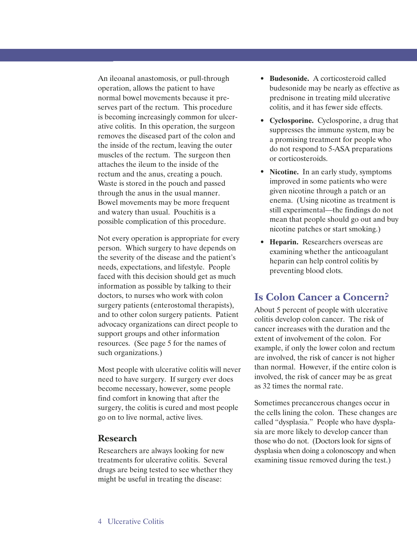An ileoanal anastomosis, or pull-through operation, allows the patient to have normal bowel movements because it preserves part of the rectum. This procedure is becoming increasingly common for ulcerative colitis. In this operation, the surgeon removes the diseased part of the colon and the inside of the rectum, leaving the outer muscles of the rectum. The surgeon then attaches the ileum to the inside of the rectum and the anus, creating a pouch. Waste is stored in the pouch and passed through the anus in the usual manner. Bowel movements may be more frequent and watery than usual. Pouchitis is a possible complication of this procedure.

Not every operation is appropriate for every person. Which surgery to have depends on the severity of the disease and the patient's needs, expectations, and lifestyle. People faced with this decision should get as much information as possible by talking to their doctors, to nurses who work with colon surgery patients (enterostomal therapists), and to other colon surgery patients. Patient advocacy organizations can direct people to support groups and other information resources. (See page 5 for the names of such organizations.)

Most people with ulcerative colitis will never need to have surgery. If surgery ever does become necessary, however, some people find comfort in knowing that after the surgery, the colitis is cured and most people go on to live normal, active lives.

#### **Research**

Researchers are always looking for new treatments for ulcerative colitis. Several drugs are being tested to see whether they might be useful in treating the disease:

- **. Budesonide.** A corticosteroid called budesonide may be nearly as effective as prednisone in treating mild ulcerative colitis, and it has fewer side effects.
- **. Cyclosporine.** Cyclosporine, a drug that suppresses the immune system, may be a promising treatment for people who do not respond to 5-ASA preparations or corticosteroids.
- **. Nicotine.** In an early study, symptoms improved in some patients who were given nicotine through a patch or an enema. (Using nicotine as treatment is still experimental—the findings do not mean that people should go out and buy nicotine patches or start smoking.)
- **. Heparin.** Researchers overseas are examining whether the anticoagulant heparin can help control colitis by preventing blood clots.

#### **Is Colon Cancer a Concern?**

About 5 percent of people with ulcerative colitis develop colon cancer. The risk of cancer increases with the duration and the extent of involvement of the colon. For example, if only the lower colon and rectum are involved, the risk of cancer is not higher than normal. However, if the entire colon is involved, the risk of cancer may be as great as 32 times the normal rate.

Sometimes precancerous changes occur in the cells lining the colon. These changes are called "dysplasia." People who have dysplasia are more likely to develop cancer than those who do not. (Doctors look for signs of dysplasia when doing a colonoscopy and when examining tissue removed during the test.)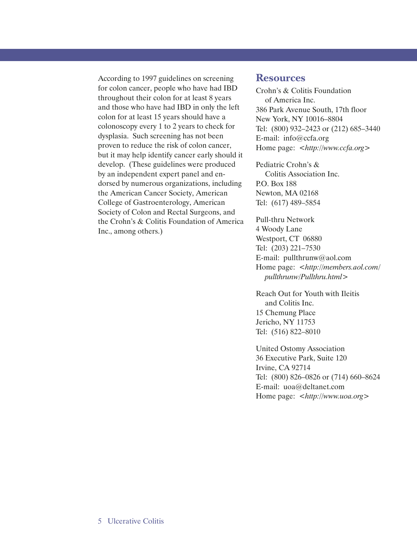According to 1997 guidelines on screening for colon cancer, people who have had IBD throughout their colon for at least 8 years and those who have had IBD in only the left colon for at least 15 years should have a colonoscopy every 1 to 2 years to check for dysplasia. Such screening has not been proven to reduce the risk of colon cancer, but it may help identify cancer early should it develop. (These guidelines were produced by an independent expert panel and endorsed by numerous organizations, including the American Cancer Society, American College of Gastroenterology, American Society of Colon and Rectal Surgeons, and the Crohn's & Colitis Foundation of America Inc., among others.)

#### **Resources**

Crohn's & Colitis Foundation of America Inc. 386 Park Avenue South, 17th floor New York, NY 10016–8804 Tel: (800) 932–2423 or (212) 685–3440 E-mail: info@ccfa.org Home page: <*http://www.ccfa.org*>

Pediatric Crohn's & Colitis Association Inc. P.O. Box 188 Newton, MA 02168 Tel: (617) 489–5854

Pull-thru Network 4 Woody Lane Westport, CT 06880 Tel: (203) 221–7530 E-mail: pullthrunw@aol.com Home page: <*http://members.aol.com/ pullthrunw/Pullthru.html*>

Reach Out for Youth with Ileitis and Colitis Inc. 15 Chemung Place Jericho, NY 11753 Tel: (516) 822–8010

United Ostomy Association 36 Executive Park, Suite 120 Irvine, CA 92714 Tel: (800) 826–0826 or (714) 660–8624 E-mail: uoa@deltanet.com Home page: <*http://www.uoa.org*>